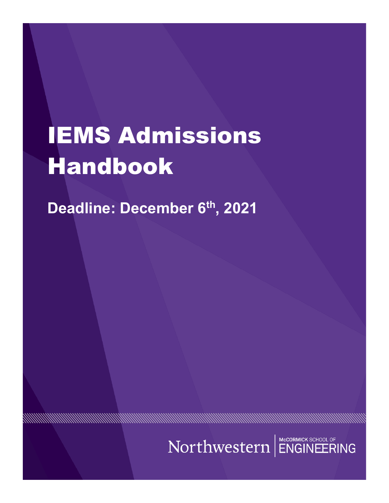# IEMS Admissions Handbook

**Deadline: December 6th , 2021**

AN MANAHAN MANAHAN MANAHAN MANAHAN MANAHAN MANAHAN MANAHAN MANAHAN MANAHAN MANAHAN MANAHAN MANAHAN MANAHAN MAN

9999999999

Northwestern ENGINEERING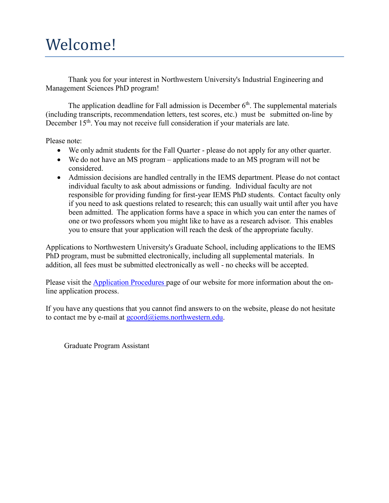# Welcome!

Thank you for your interest in Northwestern University's Industrial Engineering and Management Sciences PhD program!

The application deadline for Fall admission is December  $6<sup>th</sup>$ . The supplemental materials (including transcripts, recommendation letters, test scores, etc.) must be submitted on-line by December 15<sup>th</sup>. You may not receive full consideration if your materials are late.

Please note:

- We only admit students for the Fall Quarter please do not apply for any other quarter.
- We do not have an MS program applications made to an MS program will not be considered.
- Admission decisions are handled centrally in the IEMS department. Please do not contact individual faculty to ask about admissions or funding. Individual faculty are not responsible for providing funding for first-year IEMS PhD students. Contact faculty only if you need to ask questions related to research; this can usually wait until after you have been admitted. The application forms have a space in which you can enter the names of one or two professors whom you might like to have as a research advisor. This enables you to ensure that your application will reach the desk of the appropriate faculty.

Applications to Northwestern University's Graduate School, including applications to the IEMS PhD program, must be submitted electronically, including all supplemental materials. In addition, all fees must be submitted electronically as well - no checks will be accepted.

Please visit the **[Application](http://www.iems.northwestern.edu/graduate_program/admissions/procedures.html) Procedures** page of our website for more information about the online application process.

If you have any questions that you cannot find answers to on the website, please do not hesitate to contact me by e-mail at [gcoord@iems.northwestern.edu.](mailto:gcoord@iems.northwestern.edu)

Graduate Program Assistant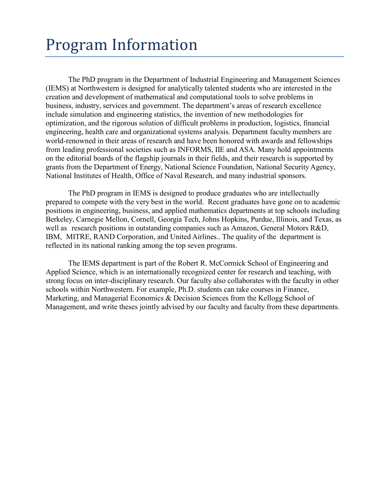# Program Information

The PhD program in the Department of Industrial Engineering and Management Sciences (IEMS) at Northwestern is designed for analytically talented students who are interested in the creation and development of mathematical and computational tools to solve problems in business, industry, services and government. The department's areas of research excellence include simulation and engineering statistics, the invention of new methodologies for optimization, and the rigorous solution of difficult problems in production, logistics, financial engineering, health care and organizational systems analysis. Department faculty members are world-renowned in their areas of research and have been honored with awards and fellowships from leading professional societies such as INFORMS, IIE and ASA. Many hold appointments on the editorial boards of the flagship journals in their fields, and their research is supported by grants from the Department of Energy, National Science Foundation, National Security Agency, National Institutes of Health, Office of Naval Research, and many industrial sponsors.

The PhD program in IEMS is designed to produce graduates who are intellectually prepared to compete with the very best in the world. Recent graduates have gone on to academic positions in engineering, business, and applied mathematics departments at top schools including Berkeley, Carnegie Mellon, Cornell, Georgia Tech, Johns Hopkins, Purdue, Illinois, and Texas, as well as research positions in outstanding companies such as Amazon, General Motors R&D, IBM, MITRE, RAND Corporation, and United Airlines.. The quality of the department is reflected in its national ranking among the top seven programs.

The IEMS department is part of the Robert R. McCormick School of Engineering and Applied Science, which is an internationally recognized center for research and teaching, with strong focus on inter-disciplinary research. Our faculty also collaborates with the faculty in other schools within Northwestern. For example, Ph.D. students can take courses in Finance, Marketing, and Managerial Economics & Decision Sciences from the Kellogg School of Management, and write theses jointly advised by our faculty and faculty from these departments.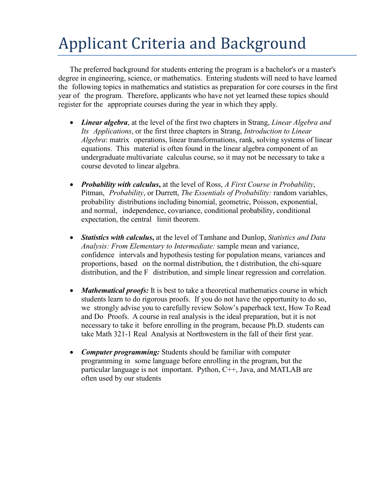# Applicant Criteria and Background

The preferred background for students entering the program is a bachelor's or a master's degree in engineering, science, or mathematics. Entering students will need to have learned the following topics in mathematics and statistics as preparation for core courses in the first year of the program. Therefore, applicants who have not yet learned these topics should register for the appropriate courses during the year in which they apply.

- *Linear algebra*, at the level of the first two chapters in Strang, *Linear Algebra and Its Applications*, or the first three chapters in Strang, *Introduction to Linear Algebra*: matrix operations, linear transformations, rank, solving systems of linear equations. This material is often found in the linear algebra component of an undergraduate multivariate calculus course, so it may not be necessary to take a course devoted to linear algebra.
- *Probability with calculus***,** at the level of Ross, *A First Course in Probability*, Pitman, *Probability*, or Durrett, *The Essentials of Probability:* random variables, probability distributions including binomial, geometric, Poisson, exponential, and normal, independence, covariance, conditional probability, conditional expectation, the central limit theorem.
- *Statistics with calculus***,** at the level of Tamhane and Dunlop, *Statistics and Data Analysis: From Elementary to Intermediate:* sample mean and variance, confidence intervals and hypothesis testing for population means, variances and proportions, based on the normal distribution, the t distribution, the chi-square distribution, and the F distribution, and simple linear regression and correlation.
- *Mathematical proofs:* It is best to take a theoretical mathematics course in which students learn to do rigorous proofs. If you do not have the opportunity to do so, we strongly advise you to carefully review Solow's paperback text, How To Read and Do Proofs. A course in real analysis is the ideal preparation, but it is not necessary to take it before enrolling in the program, because Ph.D. students can take Math 321-1 Real Analysis at Northwestern in the fall of their first year.
- *Computer programming:* Students should be familiar with computer programming in some language before enrolling in the program, but the particular language is not important. Python, C++, Java, and MATLAB are often used by our students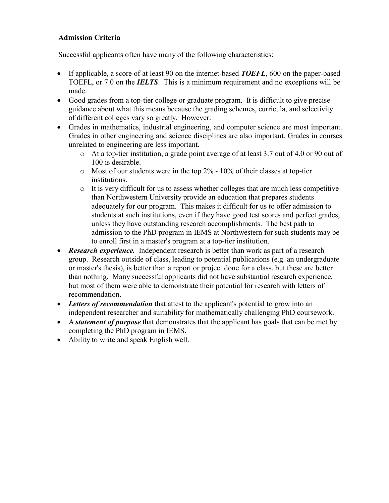## **Admission Criteria**

Successful applicants often have many of the following characteristics:

- If applicable, a score of at least 90 on the internet-based *TOEFL*, 600 on the paper-based TOEFL, or 7.0 on the *IELTS*. This is a minimum requirement and no exceptions will be made.
- Good grades from a top-tier college or graduate program. It is difficult to give precise guidance about what this means because the grading schemes, curricula, and selectivity of different colleges vary so greatly. However:
- Grades in mathematics, industrial engineering, and computer science are most important. Grades in other engineering and science disciplines are also important. Grades in courses unrelated to engineering are less important.
	- o At a top-tier institution, a grade point average of at least 3.7 out of 4.0 or 90 out of 100 is desirable.
	- $\circ$  Most of our students were in the top 2% 10% of their classes at top-tier institutions.
	- o It is very difficult for us to assess whether colleges that are much less competitive than Northwestern University provide an education that prepares students adequately for our program. This makes it difficult for us to offer admission to students at such institutions, even if they have good test scores and perfect grades, unless they have outstanding research accomplishments. The best path to admission to the PhD program in IEMS at Northwestern for such students may be to enroll first in a master's program at a top-tier institution.
- *Research experience.* Independent research is better than work as part of a research group. Research outside of class, leading to potential publications (e.g. an undergraduate or master's thesis), is better than a report or project done for a class, but these are better than nothing. Many successful applicants did not have substantial research experience, but most of them were able to demonstrate their potential for research with letters of recommendation.
- *Letters of recommendation* that attest to the applicant's potential to grow into an independent researcher and suitability for mathematically challenging PhD coursework.
- A *statement of purpose* that demonstrates that the applicant has goals that can be met by completing the PhD program in IEMS.
- Ability to write and speak English well.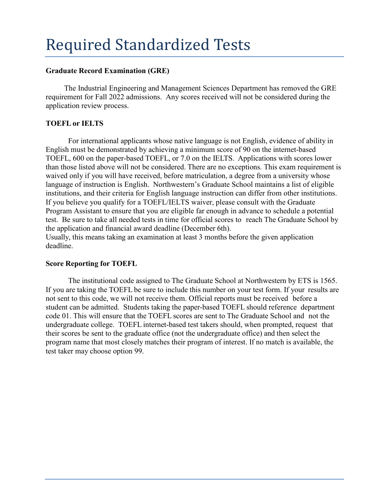# Required Standardized Tests

#### **Graduate Record Examination (GRE)**

The Industrial Engineering and Management Sciences Department has removed the GRE requirement for Fall 2022 admissions. Any scores received will not be considered during the application review process.

## **TOEFL or IELTS**

For international applicants whose native language is not English, evidence of ability in English must be demonstrated by achieving a minimum score of 90 on the internet-based TOEFL, 600 on the paper-based TOEFL, or 7.0 on the IELTS. Applications with scores lower than those listed above will not be considered. There are no exceptions. This exam requirement is waived only if you will have received, before matriculation, a degree from a university whose language of instruction is English. Northwestern's Graduate School maintains a list of eligible institutions, and their criteria for English language instruction can differ from other institutions. If you believe you qualify for a TOEFL/IELTS waiver, please consult with the Graduate Program Assistant to ensure that you are eligible far enough in advance to schedule a potential test. Be sure to take all needed tests in time for official scores to reach The Graduate School by the application and financial award deadline (December 6th). Usually, this means taking an examination at least 3 months before the given application deadline.

#### **Score Reporting for TOEFL**

The institutional code assigned to The Graduate School at Northwestern by ETS is 1565. If you are taking the TOEFL be sure to include this number on your test form. If your results are not sent to this code, we will not receive them. Official reports must be received before a student can be admitted. Students taking the paper-based TOEFL should reference department code 01. This will ensure that the TOEFL scores are sent to The Graduate School and not the undergraduate college. TOEFL internet-based test takers should, when prompted, request that their scores be sent to the graduate office (not the undergraduate office) and then select the program name that most closely matches their program of interest. If no match is available, the test taker may choose option 99.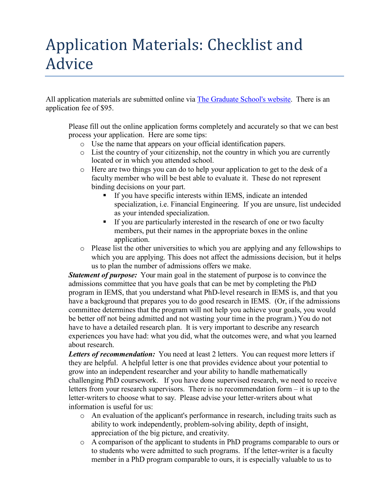# Application Materials: Checklist and Advice

All application materials are submitted online via [The Graduate School's](http://www.tgs.northwestern.edu/admission/index.html) website. There is an application fee of \$95.

Please fill out the online application forms completely and accurately so that we can best process your application. Here are some tips:

- o Use the name that appears on your official identification papers.
- o List the country of your citizenship, not the country in which you are currently located or in which you attended school.
- o Here are two things you can do to help your application to get to the desk of a faculty member who will be best able to evaluate it. These do not represent binding decisions on your part.
	- If you have specific interests within IEMS, indicate an intended specialization, i.e. Financial Engineering. If you are unsure, list undecided as your intended specialization.
	- If you are particularly interested in the research of one or two faculty members, put their names in the appropriate boxes in the online application.
- o Please list the other universities to which you are applying and any fellowships to which you are applying. This does not affect the admissions decision, but it helps us to plan the number of admissions offers we make.

*Statement of purpose:* Your main goal in the statement of purpose is to convince the admissions committee that you have goals that can be met by completing the PhD program in IEMS, that you understand what PhD-level research in IEMS is, and that you have a background that prepares you to do good research in IEMS. (Or, if the admissions committee determines that the program will not help you achieve your goals, you would be better off not being admitted and not wasting your time in the program.) You do not have to have a detailed research plan. It is very important to describe any research experiences you have had: what you did, what the outcomes were, and what you learned about research.

*Letters of recommendation:* You need at least 2 letters. You can request more letters if they are helpful. A helpful letter is one that provides evidence about your potential to grow into an independent researcher and your ability to handle mathematically challenging PhD coursework. If you have done supervised research, we need to receive letters from your research supervisors. There is no recommendation form – it is up to the letter-writers to choose what to say. Please advise your letter-writers about what information is useful for us:

- o An evaluation of the applicant's performance in research, including traits such as ability to work independently, problem-solving ability, depth of insight, appreciation of the big picture, and creativity.
- o A comparison of the applicant to students in PhD programs comparable to ours or to students who were admitted to such programs. If the letter-writer is a faculty member in a PhD program comparable to ours, it is especially valuable to us to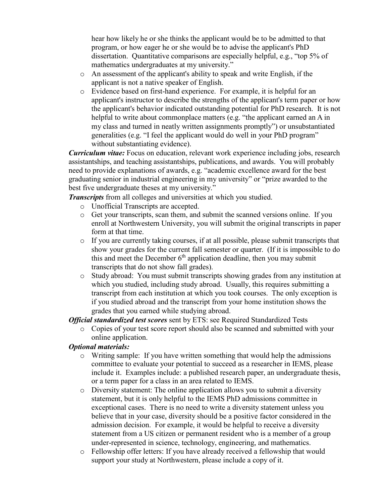hear how likely he or she thinks the applicant would be to be admitted to that program, or how eager he or she would be to advise the applicant's PhD dissertation. Quantitative comparisons are especially helpful, e.g., "top 5% of mathematics undergraduates at my university."

- o An assessment of the applicant's ability to speak and write English, if the applicant is not a native speaker of English.
- o Evidence based on first-hand experience. For example, it is helpful for an applicant's instructor to describe the strengths of the applicant's term paper or how the applicant's behavior indicated outstanding potential for PhD research. It is not helpful to write about commonplace matters (e.g. "the applicant earned an A in my class and turned in neatly written assignments promptly") or unsubstantiated generalities (e.g. "I feel the applicant would do well in your PhD program" without substantiating evidence).

*Curriculum vitae:* Focus on education, relevant work experience including jobs, research assistantships, and teaching assistantships, publications, and awards. You will probably need to provide explanations of awards, e.g. "academic excellence award for the best graduating senior in industrial engineering in my university" or "prize awarded to the best five undergraduate theses at my university."

*Transcripts* from all colleges and universities at which you studied.

- o Unofficial Transcripts are accepted.
- o Get your transcripts, scan them, and submit the scanned versions online. If you enroll at Northwestern University, you will submit the original transcripts in paper form at that time.
- o If you are currently taking courses, if at all possible, please submit transcripts that show your grades for the current fall semester or quarter. (If it is impossible to do this and meet the December  $6<sup>th</sup>$  application deadline, then you may submit transcripts that do not show fall grades).
- o Study abroad: You must submit transcripts showing grades from any institution at which you studied, including study abroad. Usually, this requires submitting a transcript from each institution at which you took courses. The only exception is if you studied abroad and the transcript from your home institution shows the grades that you earned while studying abroad.

*Official standardized test scores* sent by ETS: see Required Standardized Tests

o Copies of your test score report should also be scanned and submitted with your online application.

## *Optional materials:*

- $\circ$  Writing sample: If you have written something that would help the admissions committee to evaluate your potential to succeed as a researcher in IEMS, please include it. Examples include: a published research paper, an undergraduate thesis, or a term paper for a class in an area related to IEMS.
- o Diversity statement: The online application allows you to submit a diversity statement, but it is only helpful to the IEMS PhD admissions committee in exceptional cases. There is no need to write a diversity statement unless you believe that in your case, diversity should be a positive factor considered in the admission decision. For example, it would be helpful to receive a diversity statement from a US citizen or permanent resident who is a member of a group under-represented in science, technology, engineering, and mathematics.
- o Fellowship offer letters: If you have already received a fellowship that would support your study at Northwestern, please include a copy of it.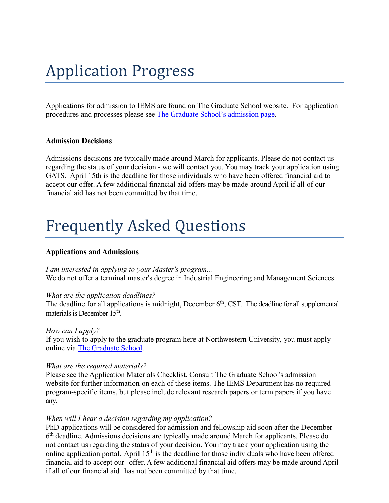# Application Progress

Applications for admission to IEMS are found on The Graduate School website. For application procedures and processes please see [The Graduate](http://www.tgs.northwestern.edu/admission/index.html) School's admission page.

#### **Admission Decisions**

Admissions decisions are typically made around March for applicants. Please do not contact us regarding the status of your decision - we will contact you. You may track your application using GATS. April 15th is the deadline for those individuals who have been offered financial aid to accept our offer. A few additional financial aid offers may be made around April if all of our financial aid has not been committed by that time.

# Frequently Asked Questions

#### **Applications and Admissions**

*I am interested in applying to your Master's program...* We do not offer a terminal master's degree in Industrial Engineering and Management Sciences.

#### *What are the application deadlines?*

The deadline for all applications is midnight, December  $6<sup>th</sup>$ , CST. The deadline for all supplemental materials is December 15<sup>th</sup>.

#### *How can I apply?*

If you wish to apply to the graduate program here at Northwestern University, you must apply online via [The Graduate](http://www.tgs.northwestern.edu/admission/index.html) School.

#### *What are the required materials?*

Please see the Application Materials Checklist. Consult The Graduate School's admission website for further information on each of these items. The IEMS Department has no required program-specific items, but please include relevant research papers or term papers if you have any.

#### *When will I hear a decision regarding my application?*

PhD applications will be considered for admission and fellowship aid soon after the December 6th deadline. Admissions decisions are typically made around March for applicants. Please do not contact us regarding the status of your decision. You may track your application using the online application portal. April  $15<sup>th</sup>$  is the deadline for those individuals who have been offered financial aid to accept our offer. A few additional financial aid offers may be made around April if all of our financial aid has not been committed by that time.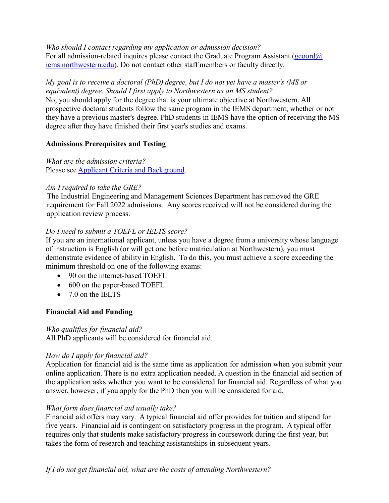*Who should I contact regarding my application or admission decision?* For all admission-related inquires please contact the Graduate Program Assistant ( $\frac{g\text{coord}}{a}$ ) [iems.northwestern.edu\)](mailto:gcoord@iems.northwestern.edu). Do not contact other staff members or faculty directly.

*My goal is to receive a doctoral (PhD) degree, but I do not yet have a master's (MS or equivalent) degree. Should I first apply to Northwestern as an MS student?* No, you should apply for the degree that is your ultimate objective at Northwestern. All prospective doctoral students follow the same program in the IEMS department, whether or not they have a previous master's degree. PhD students in IEMS have the option of receiving the MS degree after they have finished their first year's studies and exams.

# **Admissions Prerequisites and Testing**

*What are the admission criteria?* Please see Applicant Criteria and [Background.](http://www.iems.northwestern.edu/graduate_program/admissions/criteria.html)

## *Am I required to take the GRE?*

The Industrial Engineering and Management Sciences Department has removed the GRE requirement for Fall 2022 admissions. Any scores received will not be considered during the application review process.

# *Do I need to submit a TOEFL or IELTS score?*

If you are an international applicant, unless you have a degree from a university whose language of instruction is English (or will get one before matriculation at Northwestern), you must demonstrate evidence of ability in English. To do this, you must achieve a score exceeding the minimum threshold on one of the following exams:

- 90 on the internet-based TOEFL
- 600 on the paper-based TOEFL
- 7.0 on the IELTS

# **Financial Aid and Funding**

## *Who qualifies for financial aid?*

All PhD applicants will be considered for financial aid.

## *How do I apply for financial aid?*

Application for financial aid is the same time as application for admission when you submit your online application. There is no extra application needed. A question in the financial aid section of the application asks whether you want to be considered for financial aid. Regardless of what you answer, however, if you apply for the PhD then you will be considered for aid.

# *What form does financial aid usually take?*

Financial aid offers may vary. A typical financial aid offer provides for tuition and stipend for five years. Financial aid is contingent on satisfactory progress in the program. A typical offer requires only that students make satisfactory progress in coursework during the first year, but takes the form of research and teaching assistantships in subsequent years.